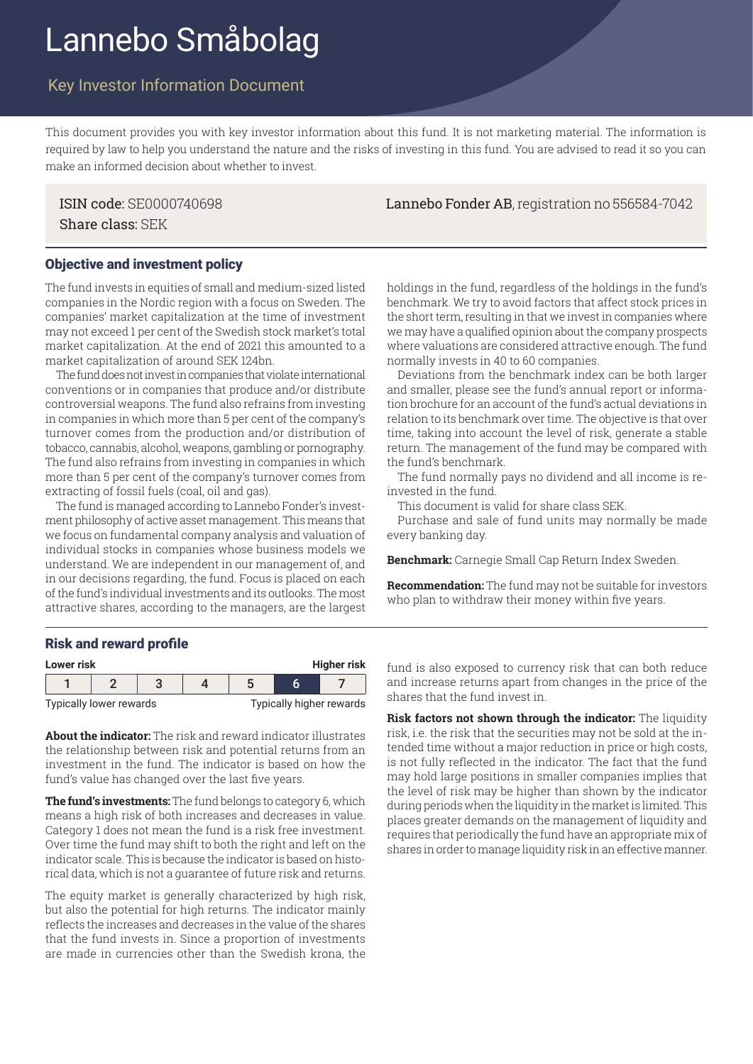# Lannebo Småbolag

## Key Investor Information Document

This document provides you with key investor information about this fund. It is not marketing material. The information is required by law to help you understand the nature and the risks of investing in this fund. You are advised to read it so you can make an informed decision about whether to invest.

Share class: SEK

#### Objective and investment policy

The fund invests in equities of small and medium-sized listed companies in the Nordic region with a focus on Sweden. The companies' market capitalization at the time of investment may not exceed 1 per cent of the Swedish stock market's total market capitalization. At the end of 2021 this amounted to a market capitalization of around SEK 124bn.

The fund does not invest in companies that violate international conventions or in companies that produce and/or distribute controversial weapons. The fund also refrains from investing in companies in which more than 5 per cent of the company's turnover comes from the production and/or distribution of tobacco, cannabis, alcohol, weapons, gambling or pornography. The fund also refrains from investing in companies in which more than 5 per cent of the company's turnover comes from extracting of fossil fuels (coal, oil and gas).

The fund is managed according to Lannebo Fonder's investment philosophy of active asset management. This means that we focus on fundamental company analysis and valuation of individual stocks in companies whose business models we understand. We are independent in our management of, and in our decisions regarding, the fund. Focus is placed on each of the fund's individual investments and its outlooks. The most attractive shares, according to the managers, are the largest

holdings in the fund, regardless of the holdings in the fund's benchmark. We try to avoid factors that affect stock prices in the short term, resulting in that we invest in companies where we may have a qualified opinion about the company prospects where valuations are considered attractive enough. The fund normally invests in 40 to 60 companies.

Deviations from the benchmark index can be both larger and smaller, please see the fund's annual report or information brochure for an account of the fund's actual deviations in relation to its benchmark over time. The objective is that over time, taking into account the level of risk, generate a stable return. The management of the fund may be compared with the fund's benchmark.

The fund normally pays no dividend and all income is reinvested in the fund.

This document is valid for share class SEK.

Purchase and sale of fund units may normally be made every banking day.

**Benchmark:** Carnegie Small Cap Return Index Sweden.

**Recommendation:** The fund may not be suitable for investors who plan to withdraw their money within five years.

#### Risk and reward profile

| <b>Higher risk</b><br>Lower risk |  |  |  |                          |  |  |
|----------------------------------|--|--|--|--------------------------|--|--|
|                                  |  |  |  |                          |  |  |
| Typically lower rewards          |  |  |  | Typically higher rewards |  |  |

**About the indicator:** The risk and reward indicator illustrates the relationship between risk and potential returns from an investment in the fund. The indicator is based on how the fund's value has changed over the last five years.

**The fund's investments:** The fund belongs to category 6, which means a high risk of both increases and decreases in value. Category 1 does not mean the fund is a risk free investment. Over time the fund may shift to both the right and left on the indicator scale. This is because the indicator is based on historical data, which is not a guarantee of future risk and returns.

The equity market is generally characterized by high risk, but also the potential for high returns. The indicator mainly reflects the increases and decreases in the value of the shares that the fund invests in. Since a proportion of investments are made in currencies other than the Swedish krona, the

fund is also exposed to currency risk that can both reduce and increase returns apart from changes in the price of the shares that the fund invest in.

**Risk factors not shown through the indicator:** The liquidity risk, i.e. the risk that the securities may not be sold at the intended time without a major reduction in price or high costs, is not fully reflected in the indicator. The fact that the fund may hold large positions in smaller companies implies that the level of risk may be higher than shown by the indicator during periods when the liquidity in the market is limited. This places greater demands on the management of liquidity and requires that periodically the fund have an appropriate mix of shares in order to manage liquidity risk in an effective manner.

#### ISIN code: SE0000740698 Lannebo Fonder AB, registration no 556584-7042